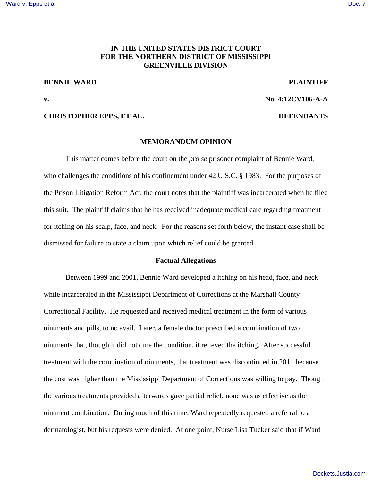# **IN THE UNITED STATES DISTRICT COURT FOR THE NORTHERN DISTRICT OF MISSISSIPPI GREENVILLE DIVISION**

## **BENNIE WARD PLAINTIFF**

**v. No. 4:12CV106-A-A**

### **CHRISTOPHER EPPS, ET AL. DEFENDANTS**

## **MEMORANDUM OPINION**

This matter comes before the court on the *pro se* prisoner complaint of Bennie Ward, who challenges the conditions of his confinement under 42 U.S.C. § 1983. For the purposes of the Prison Litigation Reform Act, the court notes that the plaintiff was incarcerated when he filed this suit. The plaintiff claims that he has received inadequate medical care regarding treatment for itching on his scalp, face, and neck. For the reasons set forth below, the instant case shall be dismissed for failure to state a claim upon which relief could be granted.

### **Factual Allegations**

Between 1999 and 2001, Bennie Ward developed a itching on his head, face, and neck while incarcerated in the Mississippi Department of Corrections at the Marshall County Correctional Facility. He requested and received medical treatment in the form of various ointments and pills, to no avail. Later, a female doctor prescribed a combination of two ointments that, though it did not cure the condition, it relieved the itching. After successful treatment with the combination of ointments, that treatment was discontinued in 2011 because the cost was higher than the Mississippi Department of Corrections was willing to pay. Though the various treatments provided afterwards gave partial relief, none was as effective as the ointment combination. During much of this time, Ward repeatedly requested a referral to a dermatologist, but his requests were denied. At one point, Nurse Lisa Tucker said that if Ward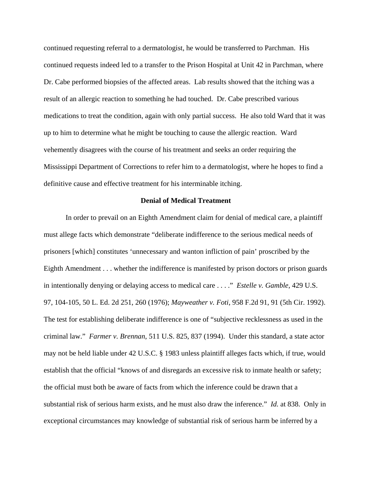continued requesting referral to a dermatologist, he would be transferred to Parchman. His continued requests indeed led to a transfer to the Prison Hospital at Unit 42 in Parchman, where Dr. Cabe performed biopsies of the affected areas. Lab results showed that the itching was a result of an allergic reaction to something he had touched. Dr. Cabe prescribed various medications to treat the condition, again with only partial success. He also told Ward that it was up to him to determine what he might be touching to cause the allergic reaction. Ward vehemently disagrees with the course of his treatment and seeks an order requiring the Mississippi Department of Corrections to refer him to a dermatologist, where he hopes to find a definitive cause and effective treatment for his interminable itching.

## **Denial of Medical Treatment**

In order to prevail on an Eighth Amendment claim for denial of medical care, a plaintiff must allege facts which demonstrate "deliberate indifference to the serious medical needs of prisoners [which] constitutes 'unnecessary and wanton infliction of pain' proscribed by the Eighth Amendment . . . whether the indifference is manifested by prison doctors or prison guards in intentionally denying or delaying access to medical care . . . ." *Estelle v. Gamble*, 429 U.S. 97, 104-105, 50 L. Ed. 2d 251, 260 (1976); *Mayweather v. Foti*, 958 F.2d 91, 91 (5th Cir. 1992). The test for establishing deliberate indifference is one of "subjective recklessness as used in the criminal law." *Farmer v. Brennan*, 511 U.S. 825, 837 (1994). Under this standard, a state actor may not be held liable under 42 U.S.C. § 1983 unless plaintiff alleges facts which, if true, would establish that the official "knows of and disregards an excessive risk to inmate health or safety; the official must both be aware of facts from which the inference could be drawn that a substantial risk of serious harm exists, and he must also draw the inference." *Id.* at 838. Only in exceptional circumstances may knowledge of substantial risk of serious harm be inferred by a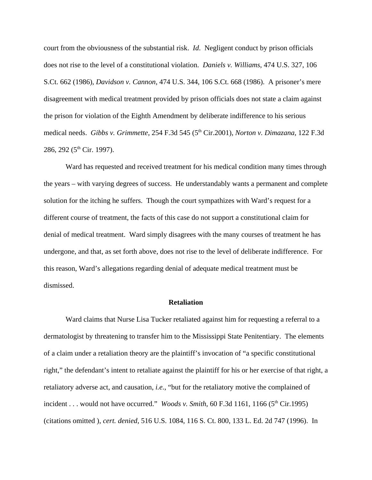court from the obviousness of the substantial risk. *Id*. Negligent conduct by prison officials does not rise to the level of a constitutional violation. *Daniels v. Williams*, 474 U.S. 327, 106 S.Ct. 662 (1986), *Davidson v. Cannon*, 474 U.S. 344, 106 S.Ct. 668 (1986). A prisoner's mere disagreement with medical treatment provided by prison officials does not state a claim against the prison for violation of the Eighth Amendment by deliberate indifference to his serious medical needs. *Gibbs v. Grimmette*, 254 F.3d 545 (5<sup>th</sup> Cir.2001), *Norton v. Dimazana*, 122 F.3d 286, 292 (5<sup>th</sup> Cir. 1997).

Ward has requested and received treatment for his medical condition many times through the years – with varying degrees of success. He understandably wants a permanent and complete solution for the itching he suffers. Though the court sympathizes with Ward's request for a different course of treatment, the facts of this case do not support a constitutional claim for denial of medical treatment. Ward simply disagrees with the many courses of treatment he has undergone, and that, as set forth above, does not rise to the level of deliberate indifference. For this reason, Ward's allegations regarding denial of adequate medical treatment must be dismissed.

#### **Retaliation**

Ward claims that Nurse Lisa Tucker retaliated against him for requesting a referral to a dermatologist by threatening to transfer him to the Mississippi State Penitentiary. The elements of a claim under a retaliation theory are the plaintiff's invocation of "a specific constitutional right," the defendant's intent to retaliate against the plaintiff for his or her exercise of that right, a retaliatory adverse act, and causation, *i.e.*, "but for the retaliatory motive the complained of incident . . . would not have occurred." *Woods v. Smith*, 60 F.3d 1161, 1166 ( $5<sup>th</sup>$  Cir.1995) (citations omitted ), *cert. denied*, 516 U.S. 1084, 116 S. Ct. 800, 133 L. Ed. 2d 747 (1996). In